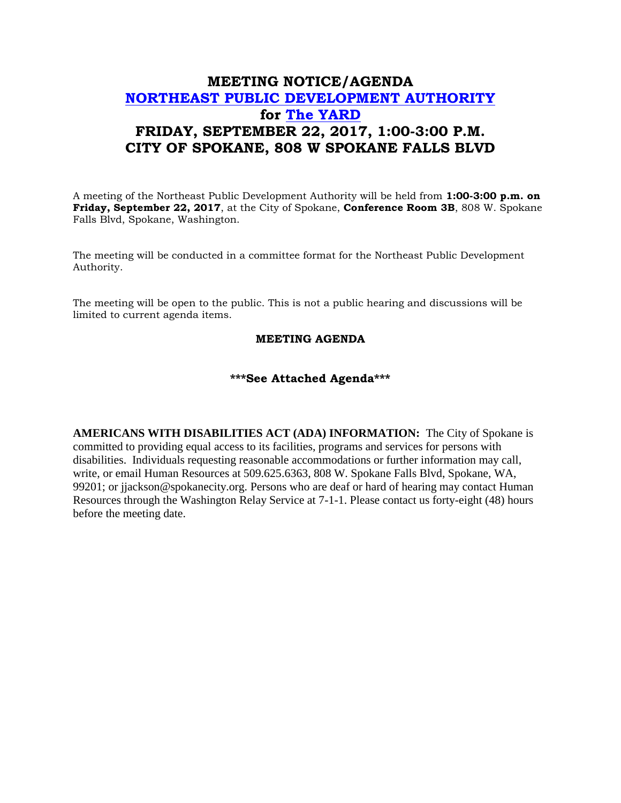## **MEETING NOTICE/AGENDA [NORTHEAST PUBLIC DEVELOPMENT AUTHORITY](https://beta.spokanecity.org/bcc/boards/northeast-public-development-authority/) for [The YARD](https://beta.spokanecity.org/projects/theyard/) FRIDAY, SEPTEMBER 22, 2017, 1:00-3:00 P.M. CITY OF SPOKANE, 808 W SPOKANE FALLS BLVD**

A meeting of the Northeast Public Development Authority will be held from **1:00-3:00 p.m. on Friday, September 22, 2017**, at the City of Spokane, **Conference Room 3B**, 808 W. Spokane Falls Blvd, Spokane, Washington.

The meeting will be conducted in a committee format for the Northeast Public Development Authority.

The meeting will be open to the public. This is not a public hearing and discussions will be limited to current agenda items.

## **MEETING AGENDA**

## **\*\*\*See Attached Agenda\*\*\***

**AMERICANS WITH DISABILITIES ACT (ADA) INFORMATION:** The City of Spokane is committed to providing equal access to its facilities, programs and services for persons with disabilities. Individuals requesting reasonable accommodations or further information may call, write, or email Human Resources at 509.625.6363, 808 W. Spokane Falls Blvd, Spokane, WA, 99201; or jjackson@spokanecity.org. Persons who are deaf or hard of hearing may contact Human Resources through the Washington Relay Service at 7-1-1. Please contact us forty-eight (48) hours before the meeting date.